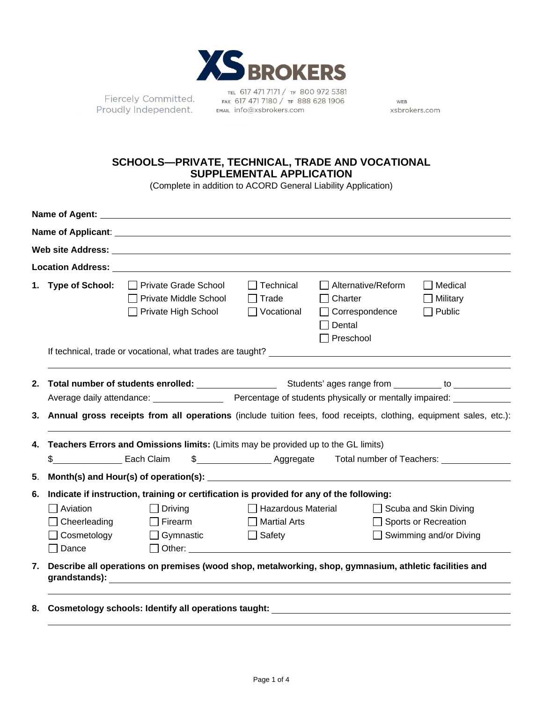

Fiercely Committed. Proudly Independent.

TEL 617 471 7171 / TF 800 972 5381 FAX 617 471 7180 / TF 888 628 1906 EMAIL info@xsbrokers.com

WEB xsbrokers.com

## **SCHOOLS—PRIVATE, TECHNICAL, TRADE AND VOCATIONAL SUPPLEMENTAL APPLICATION**

(Complete in addition to ACORD General Liability Application)

| Name of Agent:<br><u> 1980 - Jan Sterling van die Sterling van die Sterling van die Sterling van die Sterling van die Sterling van</u> |                                                                                                                                                                                                            |                                                                                                                                                                                                                                     |                                                       |                                                                                        |                                                         |  |  |  |  |
|----------------------------------------------------------------------------------------------------------------------------------------|------------------------------------------------------------------------------------------------------------------------------------------------------------------------------------------------------------|-------------------------------------------------------------------------------------------------------------------------------------------------------------------------------------------------------------------------------------|-------------------------------------------------------|----------------------------------------------------------------------------------------|---------------------------------------------------------|--|--|--|--|
|                                                                                                                                        |                                                                                                                                                                                                            |                                                                                                                                                                                                                                     |                                                       |                                                                                        |                                                         |  |  |  |  |
|                                                                                                                                        |                                                                                                                                                                                                            | <b>Solution Web site Address:</b> And the set of the set of the set of the set of the set of the set of the set of the set of the set of the set of the set of the set of the set of the set of the set of the set of the set of th |                                                       |                                                                                        |                                                         |  |  |  |  |
|                                                                                                                                        |                                                                                                                                                                                                            |                                                                                                                                                                                                                                     |                                                       |                                                                                        |                                                         |  |  |  |  |
|                                                                                                                                        | 1. Type of School:                                                                                                                                                                                         | □ Private Grade School<br><b>Private Middle School</b><br>□ Private High School                                                                                                                                                     | $\Box$ Technical<br>$\Box$ Trade<br>$\Box$ Vocational | $\Box$ Alternative/Reform<br>Charter<br>□ Correspondence<br>Dental<br>$\Box$ Preschool | Medical<br>Military<br>Public                           |  |  |  |  |
|                                                                                                                                        |                                                                                                                                                                                                            |                                                                                                                                                                                                                                     |                                                       |                                                                                        |                                                         |  |  |  |  |
|                                                                                                                                        |                                                                                                                                                                                                            |                                                                                                                                                                                                                                     |                                                       |                                                                                        |                                                         |  |  |  |  |
|                                                                                                                                        |                                                                                                                                                                                                            |                                                                                                                                                                                                                                     |                                                       |                                                                                        |                                                         |  |  |  |  |
| 4.                                                                                                                                     | 3. Annual gross receipts from all operations (include tuition fees, food receipts, clothing, equipment sales, etc.):<br>Teachers Errors and Omissions limits: (Limits may be provided up to the GL limits) |                                                                                                                                                                                                                                     |                                                       |                                                                                        |                                                         |  |  |  |  |
|                                                                                                                                        | \$________________________ Each Claim                                                                                                                                                                      |                                                                                                                                                                                                                                     |                                                       |                                                                                        |                                                         |  |  |  |  |
| 5.                                                                                                                                     |                                                                                                                                                                                                            |                                                                                                                                                                                                                                     |                                                       |                                                                                        |                                                         |  |  |  |  |
| 6.                                                                                                                                     |                                                                                                                                                                                                            | Indicate if instruction, training or certification is provided for any of the following:                                                                                                                                            |                                                       |                                                                                        |                                                         |  |  |  |  |
|                                                                                                                                        | Aviation<br>Cheerleading<br>Cosmetology<br>Dance                                                                                                                                                           | $\Box$ Driving<br>$\Box$ Firearm<br>Gymnastic<br>$\Box$ Other: $\Box$                                                                                                                                                               | $\Box$ Martial Arts<br>$\Box$ Safety                  | □ Hazardous Material □ Scuba and Skin Diving                                           | □ Sports or Recreation<br>$\Box$ Swimming and/or Diving |  |  |  |  |
| 7.                                                                                                                                     |                                                                                                                                                                                                            | Describe all operations on premises (wood shop, metalworking, shop, gymnasium, athletic facilities and                                                                                                                              |                                                       |                                                                                        |                                                         |  |  |  |  |
|                                                                                                                                        |                                                                                                                                                                                                            |                                                                                                                                                                                                                                     |                                                       |                                                                                        |                                                         |  |  |  |  |
|                                                                                                                                        |                                                                                                                                                                                                            | 8. Cosmetology schools: Identify all operations taught: National Cosmetology schools: 1                                                                                                                                             |                                                       |                                                                                        |                                                         |  |  |  |  |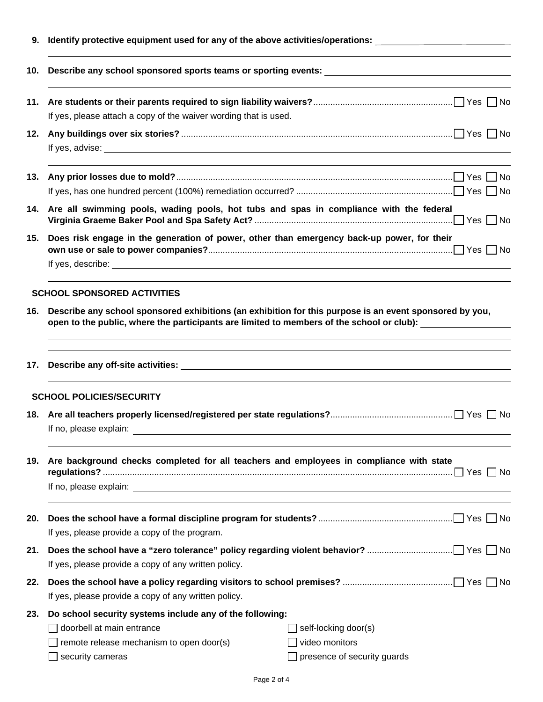| 9.  | Identify protective equipment used for any of the above activities/operations:                                                                                                                                                 |  |  |  |  |  |  |  |
|-----|--------------------------------------------------------------------------------------------------------------------------------------------------------------------------------------------------------------------------------|--|--|--|--|--|--|--|
| 10. |                                                                                                                                                                                                                                |  |  |  |  |  |  |  |
|     | If yes, please attach a copy of the waiver wording that is used.                                                                                                                                                               |  |  |  |  |  |  |  |
|     |                                                                                                                                                                                                                                |  |  |  |  |  |  |  |
| 13. |                                                                                                                                                                                                                                |  |  |  |  |  |  |  |
| 14. | Are all swimming pools, wading pools, hot tubs and spas in compliance with the federal                                                                                                                                         |  |  |  |  |  |  |  |
|     | 15. Does risk engage in the generation of power, other than emergency back-up power, for their                                                                                                                                 |  |  |  |  |  |  |  |
|     | <b>SCHOOL SPONSORED ACTIVITIES</b>                                                                                                                                                                                             |  |  |  |  |  |  |  |
|     | Describe any school sponsored exhibitions (an exhibition for this purpose is an event sponsored by you,<br>16.<br>open to the public, where the participants are limited to members of the school or club):                    |  |  |  |  |  |  |  |
|     |                                                                                                                                                                                                                                |  |  |  |  |  |  |  |
|     | <b>SCHOOL POLICIES/SECURITY</b>                                                                                                                                                                                                |  |  |  |  |  |  |  |
|     | If no, please explain:                                                                                                                                                                                                         |  |  |  |  |  |  |  |
| 19. | Are background checks completed for all teachers and employees in compliance with state                                                                                                                                        |  |  |  |  |  |  |  |
|     |                                                                                                                                                                                                                                |  |  |  |  |  |  |  |
| 20. | If yes, please provide a copy of the program.                                                                                                                                                                                  |  |  |  |  |  |  |  |
| 21. | If yes, please provide a copy of any written policy.                                                                                                                                                                           |  |  |  |  |  |  |  |
| 22. | If yes, please provide a copy of any written policy.                                                                                                                                                                           |  |  |  |  |  |  |  |
| 23. | Do school security systems include any of the following:<br>doorbell at main entrance<br>self-locking door(s)<br>video monitors<br>remote release mechanism to open door(s)<br>security cameras<br>presence of security guards |  |  |  |  |  |  |  |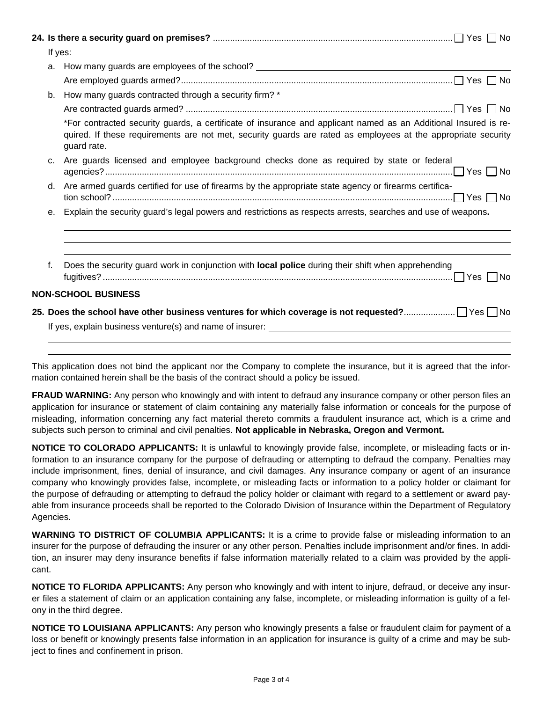|  | If yes:        |                                                                                                                                                                                                                                                                                           |  |  |  |  |  |
|--|----------------|-------------------------------------------------------------------------------------------------------------------------------------------------------------------------------------------------------------------------------------------------------------------------------------------|--|--|--|--|--|
|  | a.             |                                                                                                                                                                                                                                                                                           |  |  |  |  |  |
|  |                |                                                                                                                                                                                                                                                                                           |  |  |  |  |  |
|  | b <sub>1</sub> |                                                                                                                                                                                                                                                                                           |  |  |  |  |  |
|  |                |                                                                                                                                                                                                                                                                                           |  |  |  |  |  |
|  |                | *For contracted security guards, a certificate of insurance and applicant named as an Additional Insured is re-<br>quired. If these requirements are not met, security guards are rated as employees at the appropriate security<br>guard rate.                                           |  |  |  |  |  |
|  | C.             | Are guards licensed and employee background checks done as required by state or federal                                                                                                                                                                                                   |  |  |  |  |  |
|  | d.             | Are armed guards certified for use of firearms by the appropriate state agency or firearms certifica-<br>$\mathsf{tion}\ \mathsf{school?}\ \mathsf{}\ \mathsf{}\ \mathsf{}\ \mathsf{}\ \mathsf{}\ \mathsf{}\ \mathsf{}\ \mathsf{}\ \mathsf{}\ \mathsf{}\ \mathsf{}\ \mathsf{}\ \mathsf{}$ |  |  |  |  |  |
|  | е.             | Explain the security guard's legal powers and restrictions as respects arrests, searches and use of weapons.                                                                                                                                                                              |  |  |  |  |  |
|  | f.             | Does the security guard work in conjunction with local police during their shift when apprehending                                                                                                                                                                                        |  |  |  |  |  |
|  |                |                                                                                                                                                                                                                                                                                           |  |  |  |  |  |
|  |                | <b>NON-SCHOOL BUSINESS</b>                                                                                                                                                                                                                                                                |  |  |  |  |  |
|  |                |                                                                                                                                                                                                                                                                                           |  |  |  |  |  |
|  |                |                                                                                                                                                                                                                                                                                           |  |  |  |  |  |
|  |                |                                                                                                                                                                                                                                                                                           |  |  |  |  |  |

This application does not bind the applicant nor the Company to complete the insurance, but it is agreed that the information contained herein shall be the basis of the contract should a policy be issued.

**FRAUD WARNING:** Any person who knowingly and with intent to defraud any insurance company or other person files an application for insurance or statement of claim containing any materially false information or conceals for the purpose of misleading, information concerning any fact material thereto commits a fraudulent insurance act, which is a crime and subjects such person to criminal and civil penalties. **Not applicable in Nebraska, Oregon and Vermont.**

**NOTICE TO COLORADO APPLICANTS:** It is unlawful to knowingly provide false, incomplete, or misleading facts or information to an insurance company for the purpose of defrauding or attempting to defraud the company. Penalties may include imprisonment, fines, denial of insurance, and civil damages. Any insurance company or agent of an insurance company who knowingly provides false, incomplete, or misleading facts or information to a policy holder or claimant for the purpose of defrauding or attempting to defraud the policy holder or claimant with regard to a settlement or award payable from insurance proceeds shall be reported to the Colorado Division of Insurance within the Department of Regulatory Agencies.

**WARNING TO DISTRICT OF COLUMBIA APPLICANTS:** It is a crime to provide false or misleading information to an insurer for the purpose of defrauding the insurer or any other person. Penalties include imprisonment and/or fines. In addition, an insurer may deny insurance benefits if false information materially related to a claim was provided by the applicant.

**NOTICE TO FLORIDA APPLICANTS:** Any person who knowingly and with intent to injure, defraud, or deceive any insurer files a statement of claim or an application containing any false, incomplete, or misleading information is guilty of a felony in the third degree.

**NOTICE TO LOUISIANA APPLICANTS:** Any person who knowingly presents a false or fraudulent claim for payment of a loss or benefit or knowingly presents false information in an application for insurance is guilty of a crime and may be subject to fines and confinement in prison.